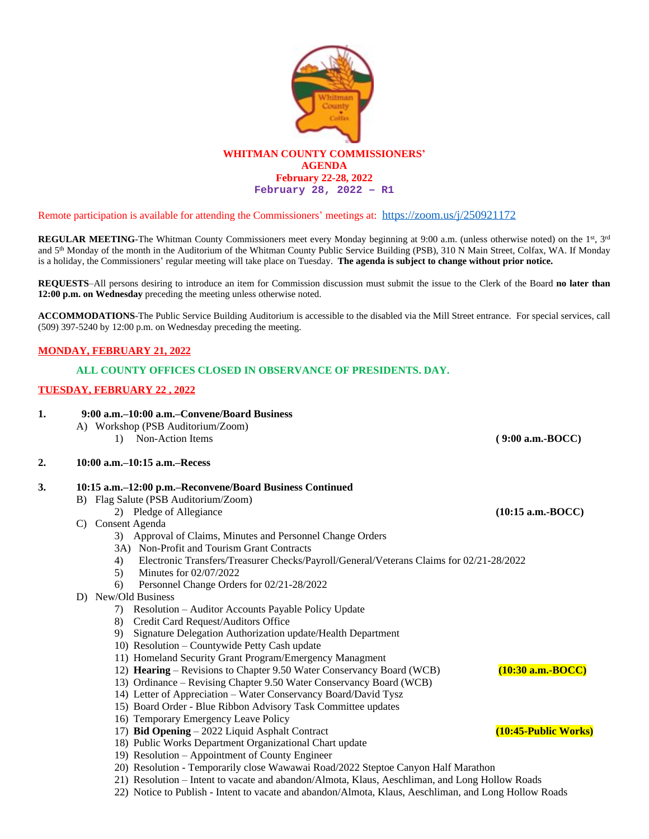

Remote participation is available for attending the Commissioners' meetings at: <https://zoom.us/j/250921172>

**REGULAR MEETING**-The Whitman County Commissioners meet every Monday beginning at 9:00 a.m. (unless otherwise noted) on the 1<sup>st</sup>, 3<sup>rd</sup> and 5<sup>th</sup> Monday of the month in the Auditorium of the Whitman County Public Service Building (PSB), 310 N Main Street, Colfax, WA. If Monday is a holiday, the Commissioners' regular meeting will take place on Tuesday. **The agenda is subject to change without prior notice.**

**REQUESTS**–All persons desiring to introduce an item for Commission discussion must submit the issue to the Clerk of the Board **no later than 12:00 p.m. on Wednesday** preceding the meeting unless otherwise noted.

**ACCOMMODATIONS**-The Public Service Building Auditorium is accessible to the disabled via the Mill Street entrance. For special services, call (509) 397-5240 by 12:00 p.m. on Wednesday preceding the meeting.

## **MONDAY, FEBRUARY 21, 2022**

# **ALL COUNTY OFFICES CLOSED IN OBSERVANCE OF PRESIDENTS. DAY.**

## **TUESDAY, FEBRUARY 22 , 2022**

| 1. | 9:00 a.m.–10:00 a.m.–Convene/Board Business<br>A) Workshop (PSB Auditorium/Zoom)<br>Non-Action Items<br>$\left( \right)$ | $(9:00 a.m.-BOCC)$   |
|----|--------------------------------------------------------------------------------------------------------------------------|----------------------|
| 2. | $10:00$ a.m. $-10:15$ a.m. $-$ Recess                                                                                    |                      |
| 3. | 10:15 a.m.–12:00 p.m.–Reconvene/Board Business Continued                                                                 |                      |
|    | B) Flag Salute (PSB Auditorium/Zoom)                                                                                     |                      |
|    | 2) Pledge of Allegiance                                                                                                  | $(10:15$ a.m.-BOCC)  |
|    | C) Consent Agenda                                                                                                        |                      |
|    | Approval of Claims, Minutes and Personnel Change Orders<br>3)                                                            |                      |
|    | 3A) Non-Profit and Tourism Grant Contracts                                                                               |                      |
|    | Electronic Transfers/Treasurer Checks/Payroll/General/Veterans Claims for 02/21-28/2022<br>4)                            |                      |
|    | Minutes for 02/07/2022<br>5)                                                                                             |                      |
|    | Personnel Change Orders for 02/21-28/2022<br>6)                                                                          |                      |
|    | D) New/Old Business                                                                                                      |                      |
|    | Resolution – Auditor Accounts Payable Policy Update<br>7)                                                                |                      |
|    | Credit Card Request/Auditors Office<br>8)                                                                                |                      |
|    | Signature Delegation Authorization update/Health Department<br>9)                                                        |                      |
|    | 10) Resolution - Countywide Petty Cash update                                                                            |                      |
|    | 11) Homeland Security Grant Program/Emergency Managment                                                                  |                      |
|    | 12) Hearing – Revisions to Chapter 9.50 Water Conservancy Board (WCB)                                                    | $(10:30$ a.m.-BOCC)  |
|    | 13) Ordinance - Revising Chapter 9.50 Water Conservancy Board (WCB)                                                      |                      |
|    | 14) Letter of Appreciation - Water Conservancy Board/David Tysz                                                          |                      |
|    | 15) Board Order - Blue Ribbon Advisory Task Committee updates                                                            |                      |
|    | 16) Temporary Emergency Leave Policy                                                                                     |                      |
|    | 17) Bid Opening - 2022 Liquid Asphalt Contract                                                                           | (10:45-Public Works) |
|    | 18) Public Works Department Organizational Chart update                                                                  |                      |
|    | 19) Resolution – Appointment of County Engineer                                                                          |                      |

- 20) Resolution Temporarily close Wawawai Road/2022 Steptoe Canyon Half Marathon
- 21) Resolution Intent to vacate and abandon/Almota, Klaus, Aeschliman, and Long Hollow Roads
- 22) Notice to Publish Intent to vacate and abandon/Almota, Klaus, Aeschliman, and Long Hollow Roads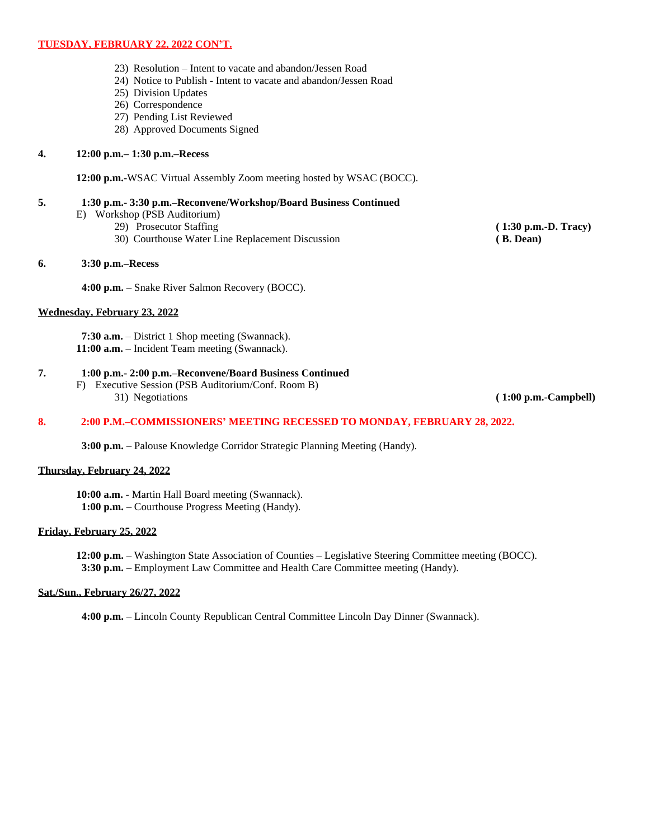## **TUESDAY, FEBRUARY 22, 2022 CON'T.**

- 23) Resolution Intent to vacate and abandon/Jessen Road
- 24) Notice to Publish Intent to vacate and abandon/Jessen Road
- 25) Division Updates
- 26) Correspondence
- 27) Pending List Reviewed
- 28) Approved Documents Signed

## **4. 12:00 p.m.– 1:30 p.m.–Recess**

**12:00 p.m.-**WSAC Virtual Assembly Zoom meeting hosted by WSAC (BOCC).

## **5. 1:30 p.m.- 3:30 p.m.–Reconvene/Workshop/Board Business Continued**

- E) Workshop (PSB Auditorium)
	- - 29) Prosecutor Staffing **(1:30 p.m.-D. Tracy)**<br>
		30) Courthouse Water Line Replacement Discussion **(B. Dean)** (B. Dean) 30) Courthouse Water Line Replacement Discussion

## **6. 3:30 p.m.–Recess**

**4:00 p.m.** – Snake River Salmon Recovery (BOCC).

#### **Wednesday, February 23, 2022**

**7:30 a.m.** – District 1 Shop meeting (Swannack). **11:00 a.m.** – Incident Team meeting (Swannack).

## **7. 1:00 p.m.- 2:00 p.m.–Reconvene/Board Business Continued**

F) Executive Session (PSB Auditorium/Conf. Room B) 31) Negotiations **( 1:00 p.m.-Campbell)**

## **8. 2:00 P.M.–COMMISSIONERS' MEETING RECESSED TO MONDAY, FEBRUARY 28, 2022.**

**3:00 p.m.** – Palouse Knowledge Corridor Strategic Planning Meeting (Handy).

## **Thursday, February 24, 2022**

**10:00 a.m.** - Martin Hall Board meeting (Swannack). **1:00 p.m.** – Courthouse Progress Meeting (Handy).

#### **Friday, February 25, 2022**

**12:00 p.m.** – Washington State Association of Counties – Legislative Steering Committee meeting (BOCC). **3:30 p.m.** – Employment Law Committee and Health Care Committee meeting (Handy).

## **Sat./Sun., February 26/27, 2022**

**4:00 p.m.** – Lincoln County Republican Central Committee Lincoln Day Dinner (Swannack).